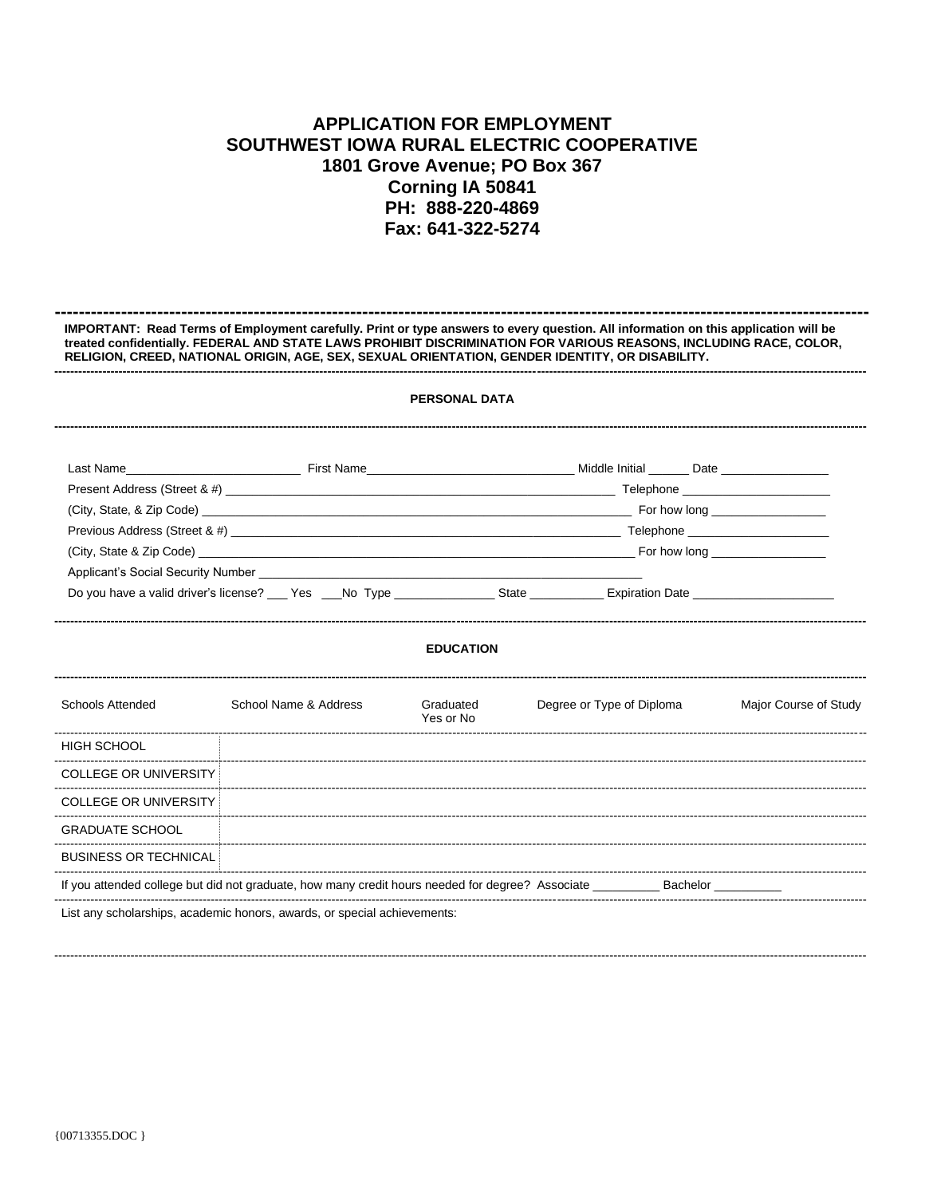## **APPLICATION FOR EMPLOYMENT** SOUTHWEST IOWA RURAL ELECTRIC COOPERATIVE 1801 Grove Avenue; PO Box 367 Corning IA 50841 PH: 888-220-4869 Fax: 641-322-5274

| IMPORTANT: Read Terms of Employment carefully. Print or type answers to every question. All information on this application will be<br>treated confidentially. FEDERAL AND STATE LAWS PROHIBIT DISCRIMINATION FOR VARIOUS REASONS, INCLUDING RACE, COLOR,<br>RELIGION, CREED, NATIONAL ORIGIN, AGE, SEX, SEXUAL ORIENTATION, GENDER IDENTITY, OR DISABILITY.<br><b>PERSONAL DATA</b> |                                                                                                                                                                                                                                |                        |                                                                                                                                                                                                                                |                       |  |  |  |  |
|--------------------------------------------------------------------------------------------------------------------------------------------------------------------------------------------------------------------------------------------------------------------------------------------------------------------------------------------------------------------------------------|--------------------------------------------------------------------------------------------------------------------------------------------------------------------------------------------------------------------------------|------------------------|--------------------------------------------------------------------------------------------------------------------------------------------------------------------------------------------------------------------------------|-----------------------|--|--|--|--|
|                                                                                                                                                                                                                                                                                                                                                                                      |                                                                                                                                                                                                                                |                        |                                                                                                                                                                                                                                |                       |  |  |  |  |
|                                                                                                                                                                                                                                                                                                                                                                                      |                                                                                                                                                                                                                                |                        |                                                                                                                                                                                                                                |                       |  |  |  |  |
|                                                                                                                                                                                                                                                                                                                                                                                      |                                                                                                                                                                                                                                |                        | (City, State, & Zip Code) example and the state of the state of the state of the state of the state of the state of the state of the state of the state of the state of the state of the state of the state of the state of th |                       |  |  |  |  |
|                                                                                                                                                                                                                                                                                                                                                                                      |                                                                                                                                                                                                                                |                        |                                                                                                                                                                                                                                |                       |  |  |  |  |
|                                                                                                                                                                                                                                                                                                                                                                                      | (City, State & Zip Code) entertainment of the state of the state of the state of the state of the state of the state of the state of the state of the state of the state of the state of the state of the state of the state o |                        |                                                                                                                                                                                                                                |                       |  |  |  |  |
|                                                                                                                                                                                                                                                                                                                                                                                      | Do you have a valid driver's license? Carry Yes Carry No Type Communication State Communication Date                                                                                                                           |                        |                                                                                                                                                                                                                                |                       |  |  |  |  |
|                                                                                                                                                                                                                                                                                                                                                                                      |                                                                                                                                                                                                                                | <b>EDUCATION</b>       |                                                                                                                                                                                                                                |                       |  |  |  |  |
| Schools Attended<br>School Name & Address                                                                                                                                                                                                                                                                                                                                            |                                                                                                                                                                                                                                | Graduated<br>Yes or No | Degree or Type of Diploma                                                                                                                                                                                                      | Major Course of Study |  |  |  |  |
| HIGH SCHOOL                                                                                                                                                                                                                                                                                                                                                                          |                                                                                                                                                                                                                                |                        |                                                                                                                                                                                                                                |                       |  |  |  |  |
| <b>COLLEGE OR UNIVERSITY!</b>                                                                                                                                                                                                                                                                                                                                                        |                                                                                                                                                                                                                                |                        |                                                                                                                                                                                                                                |                       |  |  |  |  |
| <b>COLLEGE OR UNIVERSITY:</b>                                                                                                                                                                                                                                                                                                                                                        |                                                                                                                                                                                                                                |                        |                                                                                                                                                                                                                                |                       |  |  |  |  |
| <b>GRADUATE SCHOOL</b>                                                                                                                                                                                                                                                                                                                                                               |                                                                                                                                                                                                                                |                        |                                                                                                                                                                                                                                |                       |  |  |  |  |
| <b>BUSINESS OR TECHNICAL:</b>                                                                                                                                                                                                                                                                                                                                                        |                                                                                                                                                                                                                                |                        |                                                                                                                                                                                                                                |                       |  |  |  |  |
|                                                                                                                                                                                                                                                                                                                                                                                      | If you attended college but did not graduate, how many credit hours needed for degree? Associate __________ Bachelor _________                                                                                                 |                        |                                                                                                                                                                                                                                |                       |  |  |  |  |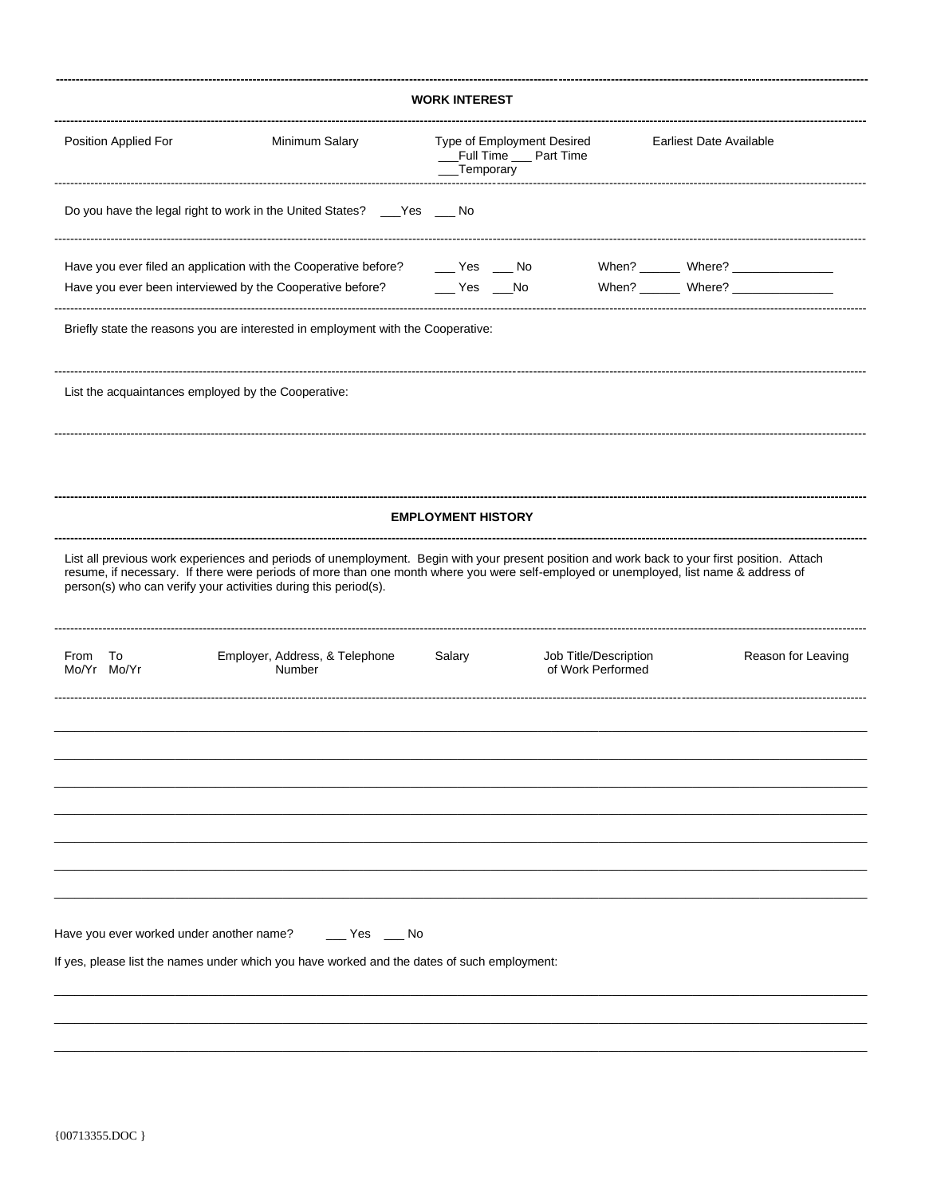| <b>WORK INTEREST</b>                                |                                                                                                                                                                                                                                                                                                                                                           |                                                                                                      |  |                                            |                         |  |  |  |
|-----------------------------------------------------|-----------------------------------------------------------------------------------------------------------------------------------------------------------------------------------------------------------------------------------------------------------------------------------------------------------------------------------------------------------|------------------------------------------------------------------------------------------------------|--|--------------------------------------------|-------------------------|--|--|--|
| Position Applied For                                | Minimum Salary                                                                                                                                                                                                                                                                                                                                            | Type of Employment Desired<br>__Full Time __ Part Time<br>_Temporary                                 |  |                                            | Earliest Date Available |  |  |  |
|                                                     | Do you have the legal right to work in the United States? ___Yes ___ No                                                                                                                                                                                                                                                                                   |                                                                                                      |  |                                            |                         |  |  |  |
|                                                     | Have you ever filed an application with the Cooperative before?<br>Have you ever been interviewed by the Cooperative before?                                                                                                                                                                                                                              | $\rule{1em}{0.15mm}$ Yes $\rule{1em}{0.15mm}$ No<br>$\rule{1em}{0.15mm}$ Yes $\rule{1em}{0.15mm}$ No |  |                                            |                         |  |  |  |
|                                                     | Briefly state the reasons you are interested in employment with the Cooperative:                                                                                                                                                                                                                                                                          |                                                                                                      |  |                                            |                         |  |  |  |
| List the acquaintances employed by the Cooperative: |                                                                                                                                                                                                                                                                                                                                                           |                                                                                                      |  |                                            |                         |  |  |  |
|                                                     |                                                                                                                                                                                                                                                                                                                                                           |                                                                                                      |  |                                            |                         |  |  |  |
|                                                     |                                                                                                                                                                                                                                                                                                                                                           | <b>EMPLOYMENT HISTORY</b>                                                                            |  |                                            |                         |  |  |  |
|                                                     | List all previous work experiences and periods of unemployment. Begin with your present position and work back to your first position. Attach<br>resume, if necessary. If there were periods of more than one month where you were self-employed or unemployed, list name & address of<br>person(s) who can verify your activities during this period(s). |                                                                                                      |  |                                            |                         |  |  |  |
| To<br>From<br>Mo/Yr Mo/Yr                           | Employer, Address, & Telephone<br>Number                                                                                                                                                                                                                                                                                                                  | Salary                                                                                               |  | Job Title/Description<br>of Work Performed | Reason for Leaving      |  |  |  |
|                                                     |                                                                                                                                                                                                                                                                                                                                                           |                                                                                                      |  |                                            |                         |  |  |  |
|                                                     |                                                                                                                                                                                                                                                                                                                                                           |                                                                                                      |  |                                            |                         |  |  |  |
|                                                     |                                                                                                                                                                                                                                                                                                                                                           |                                                                                                      |  |                                            |                         |  |  |  |
| Have you ever worked under another name?            | $\rule{1em}{0.15mm}$ Yes $\rule{1em}{0.15mm}$ No                                                                                                                                                                                                                                                                                                          |                                                                                                      |  |                                            |                         |  |  |  |
|                                                     | If yes, please list the names under which you have worked and the dates of such employment:                                                                                                                                                                                                                                                               |                                                                                                      |  |                                            |                         |  |  |  |
|                                                     |                                                                                                                                                                                                                                                                                                                                                           |                                                                                                      |  |                                            |                         |  |  |  |
|                                                     |                                                                                                                                                                                                                                                                                                                                                           |                                                                                                      |  |                                            |                         |  |  |  |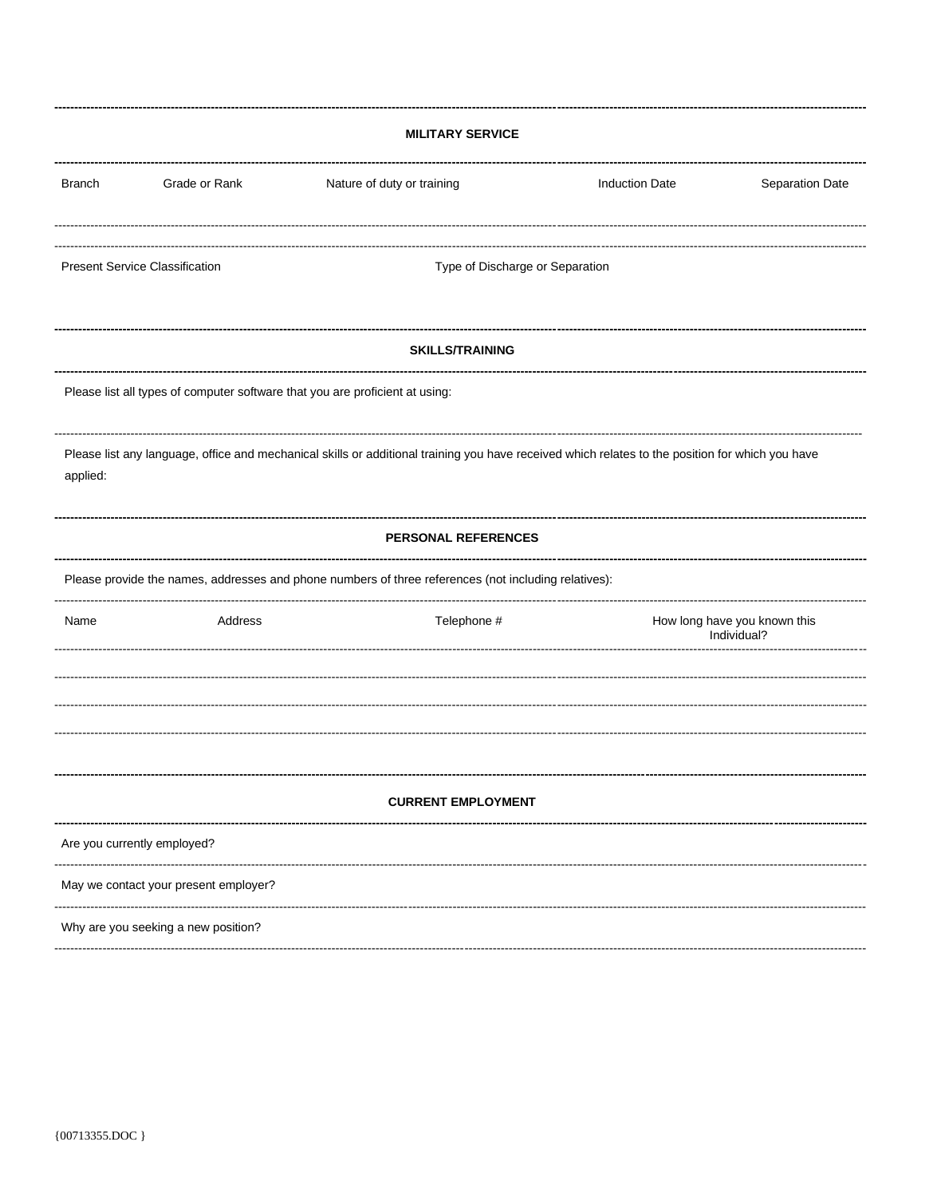| <b>MILITARY SERVICE</b>                                                                                                                                      |                                                                                                      |                            |                       |                                             |  |  |  |  |
|--------------------------------------------------------------------------------------------------------------------------------------------------------------|------------------------------------------------------------------------------------------------------|----------------------------|-----------------------|---------------------------------------------|--|--|--|--|
| <b>Branch</b>                                                                                                                                                | Grade or Rank                                                                                        | Nature of duty or training | <b>Induction Date</b> | Separation Date                             |  |  |  |  |
|                                                                                                                                                              |                                                                                                      |                            |                       |                                             |  |  |  |  |
|                                                                                                                                                              | <b>Present Service Classification</b><br>Type of Discharge or Separation                             |                            |                       |                                             |  |  |  |  |
|                                                                                                                                                              | <b>SKILLS/TRAINING</b>                                                                               |                            |                       |                                             |  |  |  |  |
|                                                                                                                                                              | Please list all types of computer software that you are proficient at using:                         |                            |                       |                                             |  |  |  |  |
| Please list any language, office and mechanical skills or additional training you have received which relates to the position for which you have<br>applied: |                                                                                                      |                            |                       |                                             |  |  |  |  |
| PERSONAL REFERENCES                                                                                                                                          |                                                                                                      |                            |                       |                                             |  |  |  |  |
|                                                                                                                                                              | Please provide the names, addresses and phone numbers of three references (not including relatives): |                            |                       |                                             |  |  |  |  |
| Name                                                                                                                                                         | Address                                                                                              | Telephone #                |                       | How long have you known this<br>Individual? |  |  |  |  |
|                                                                                                                                                              |                                                                                                      |                            |                       |                                             |  |  |  |  |
|                                                                                                                                                              |                                                                                                      |                            |                       |                                             |  |  |  |  |
|                                                                                                                                                              |                                                                                                      |                            |                       |                                             |  |  |  |  |
| <b>CURRENT EMPLOYMENT</b>                                                                                                                                    |                                                                                                      |                            |                       |                                             |  |  |  |  |
| Are you currently employed?                                                                                                                                  |                                                                                                      |                            |                       |                                             |  |  |  |  |
| May we contact your present employer?                                                                                                                        |                                                                                                      |                            |                       |                                             |  |  |  |  |
| Why are you seeking a new position?                                                                                                                          |                                                                                                      |                            |                       |                                             |  |  |  |  |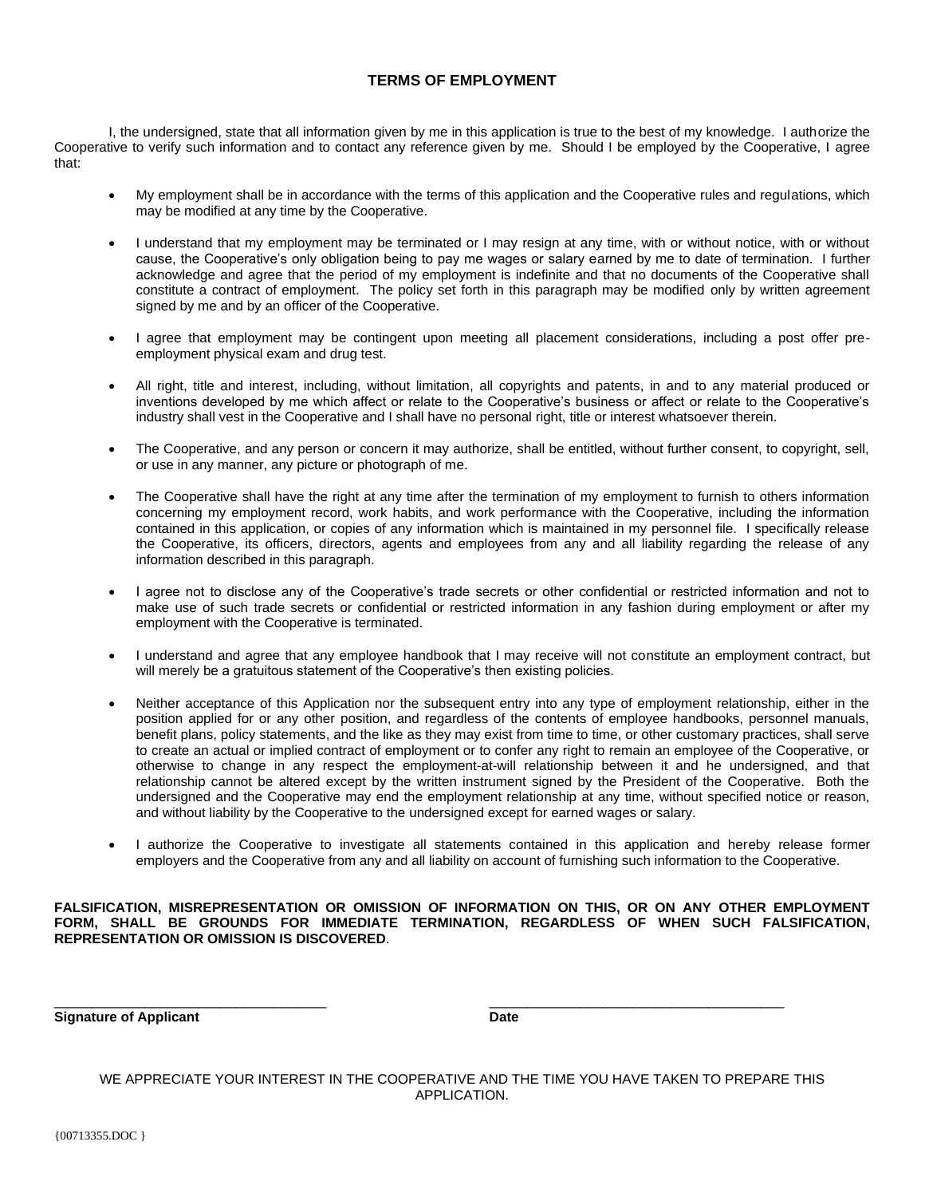## **TERMS OF EMPLOYMENT**

I, the undersigned, state that all information given by me in this application is true to the best of my knowledge. I authorize the Cooperative to verify such information and to contact any reference given by me. Should I be employed by the Cooperative, I agree that:

- My employment shall be in accordance with the terms of this application and the Cooperative rules and regulations, which may be modified at any time by the Cooperative.
- I understand that my employment may be terminated or I may resign at any time, with or without notice, with or without cause, the Cooperative's only obligation being to pay me wages or salary earned by me to date of termination. I further acknowledge and agree that the period of my employment is indefinite and that no documents of the Cooperative shall constitute a contract of employment. The policy set forth in this paragraph may be modified only by written agreement signed by me and by an officer of the Cooperative.
- I agree that employment may be contingent upon meeting all placement considerations, including a post offer preemployment physical exam and drug test.
- All right, title and interest, including, without limitation, all copyrights and patents, in and to any material produced or inventions developed by me which affect or relate to the Cooperative's business or affect or relate to the Cooperative's industry shall vest in the Cooperative and I shall have no personal right, title or interest whatsoever therein.
- The Cooperative, and any person or concern it may authorize, shall be entitled, without further consent, to copyright, sell, or use in any manner, any picture or photograph of me.
- The Cooperative shall have the right at any time after the termination of my employment to furnish to others information concerning my employment record, work habits, and work performance with the Cooperative, including the information contained in this application, or copies of any information which is maintained in my personnel file. I specifically release the Cooperative, its officers, directors, agents and employees from any and all liability regarding the release of any information described in this paragraph.
- I agree not to disclose any of the Cooperative's trade secrets or other confidential or restricted information and not to make use of such trade secrets or confidential or restricted information in any fashion during employment or after my employment with the Cooperative is terminated.
- I understand and agree that any employee handbook that I may receive will not constitute an employment contract, but will merely be a gratuitous statement of the Cooperative's then existing policies.
- Neither acceptance of this Application nor the subsequent entry into any type of employment relationship, either in the position applied for or any other position, and regardless of the contents of employee handbooks, personnel manuals, benefit plans, policy statements, and the like as they may exist from time to time, or other customary practices, shall serve to create an actual or implied contract of employment or to confer any right to remain an employee of the Cooperative, or otherwise to change in any respect the employment-at-will relationship between it and he undersigned, and that relationship cannot be altered except by the written instrument signed by the President of the Cooperative. Both the undersigned and the Cooperative may end the employment relationship at any time, without specified notice or reason, and without liability by the Cooperative to the undersigned except for earned wages or salary.
- I authorize the Cooperative to investigate all statements contained in this application and hereby release former employers and the Cooperative from any and all liability on account of furnishing such information to the Cooperative.

## **FALSIFICATION, MISREPRESENTATION OR OMISSION OF INFORMATION ON THIS, OR ON ANY OTHER EMPLOYMENT FORM, SHALL BE GROUNDS FOR IMMEDIATE TERMINATION, REGARDLESS OF WHEN SUCH FALSIFICATION, REPRESENTATION OR OMISSION IS DISCOVERED**.

\_\_\_\_\_\_\_\_\_\_\_\_\_\_\_\_\_\_\_\_\_\_\_\_\_\_\_\_\_\_\_\_\_\_\_\_ \_\_\_\_\_\_\_\_\_\_\_\_\_\_\_\_\_\_\_\_\_\_\_\_\_\_\_\_\_\_\_\_\_\_\_\_\_\_\_

**Signature of Applicant Date** 

WE APPRECIATE YOUR INTEREST IN THE COOPERATIVE AND THE TIME YOU HAVE TAKEN TO PREPARE THIS APPLICATION.